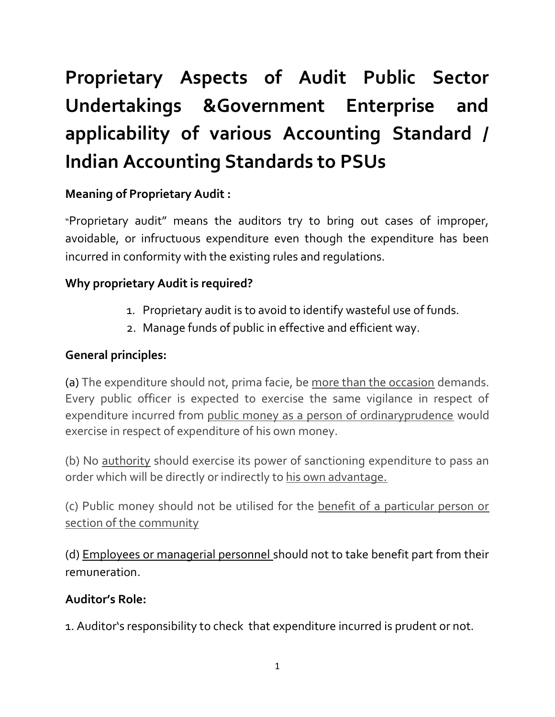# Proprietary Aspects of Audit Public Sector Undertakings &Government Enterprise and applicability of various Accounting Standard / Indian Accounting Standards to PSUs

# Meaning of Proprietary Audit :

"Proprietary audit" means the auditors try to bring out cases of improper, avoidable, or infructuous expenditure even though the expenditure has been incurred in conformity with the existing rules and regulations.

## Why proprietary Audit is required?

- 1. Proprietary audit is to avoid to identify wasteful use of funds.
- 2. Manage funds of public in effective and efficient way.

### General principles:

(a) The expenditure should not, prima facie, be more than the occasion demands. Every public officer is expected to exercise the same vigilance in respect of expenditure incurred from public money as a person of ordinaryprudence would exercise in respect of expenditure of his own money.

(b) No authority should exercise its power of sanctioning expenditure to pass an order which will be directly or indirectly to his own advantage.

(c) Public money should not be utilised for the benefit of a particular person or section of the community

(d) Employees or managerial personnel should not to take benefit part from their remuneration.

#### Auditor's Role:

1. Auditor's responsibility to check that expenditure incurred is prudent or not.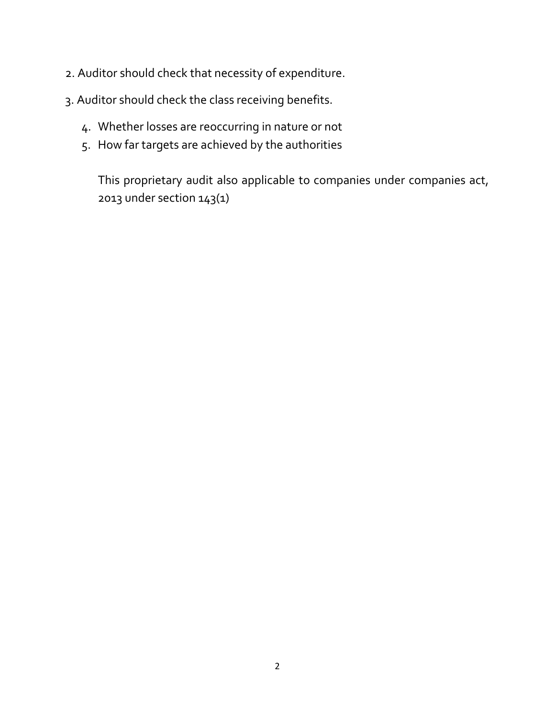- 2. Auditor should check that necessity of expenditure.
- 3. Auditor should check the class receiving benefits.
	- 4. Whether losses are reoccurring in nature or not
	- 5. How far targets are achieved by the authorities

This proprietary audit also applicable to companies under companies act, 2013 under section 143(1)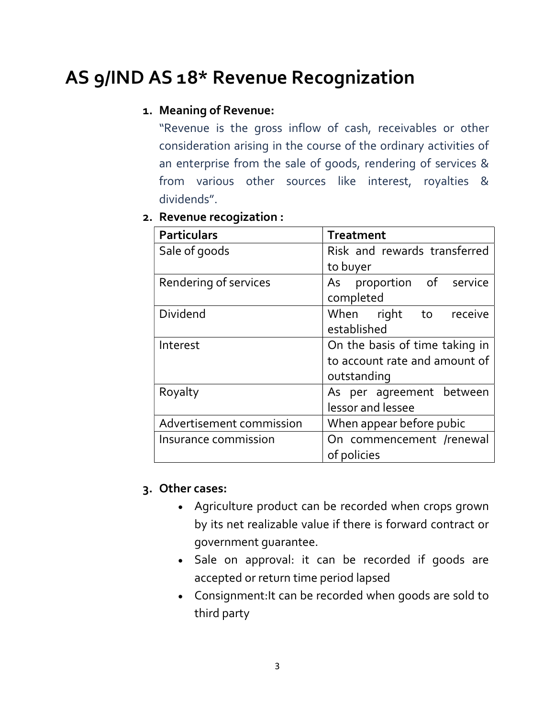# AS 9/IND AS 18\* Revenue Recognization

#### 1. Meaning of Revenue:

"Revenue is the gross inflow of cash, receivables or other consideration arising in the course of the ordinary activities of an enterprise from the sale of goods, rendering of services & from various other sources like interest, royalties & dividends".

|  | 2. Revenue recogization : |  |
|--|---------------------------|--|

| <b>Particulars</b>       | <b>Treatment</b>               |  |  |
|--------------------------|--------------------------------|--|--|
| Sale of goods            | Risk and rewards transferred   |  |  |
|                          | to buyer                       |  |  |
| Rendering of services    | As proportion of service       |  |  |
|                          | completed                      |  |  |
| <b>Dividend</b>          | When right to receive          |  |  |
|                          | established                    |  |  |
| Interest                 | On the basis of time taking in |  |  |
|                          | to account rate and amount of  |  |  |
|                          | outstanding                    |  |  |
| Royalty                  | As per agreement between       |  |  |
|                          | lessor and lessee              |  |  |
| Advertisement commission | When appear before pubic       |  |  |
| Insurance commission     | On commencement /renewal       |  |  |
|                          | of policies                    |  |  |

#### 3. Other cases:

- Agriculture product can be recorded when crops grown by its net realizable value if there is forward contract or government guarantee.
- Sale on approval: it can be recorded if goods are accepted or return time period lapsed
- Consignment:It can be recorded when goods are sold to third party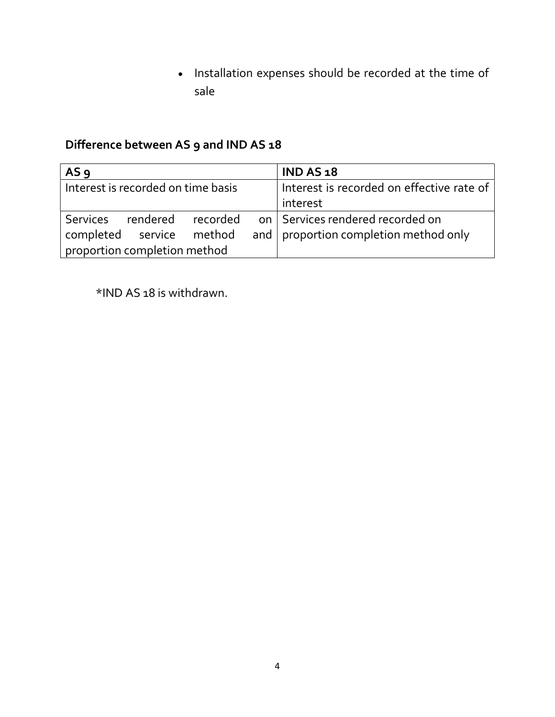• Installation expenses should be recorded at the time of sale

# Difference between AS 9 and IND AS 18

| AS <sub>9</sub>                    |                          |  |  | <b>IND AS 18</b>                                   |  |
|------------------------------------|--------------------------|--|--|----------------------------------------------------|--|
| Interest is recorded on time basis |                          |  |  | Interest is recorded on effective rate of          |  |
|                                    |                          |  |  | interest                                           |  |
| <b>Services</b>                    |                          |  |  | rendered recorded on Services rendered recorded on |  |
|                                    | completed service method |  |  | and   proportion completion method only            |  |
| proportion completion method       |                          |  |  |                                                    |  |

\*IND AS 18 is withdrawn.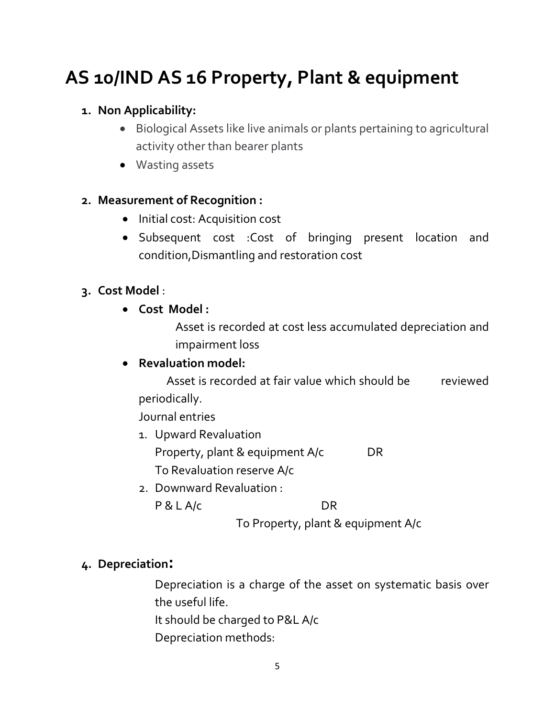# AS 10/IND AS 16 Property, Plant & equipment

### 1. Non Applicability:

- Biological Assets like live animals or plants pertaining to agricultural activity other than bearer plants
- Wasting assets

### 2. Measurement of Recognition :

- Initial cost: Acquisition cost
- Subsequent cost :Cost of bringing present location and condition,Dismantling and restoration cost

## 3. Cost Model :

Cost Model :

Asset is recorded at cost less accumulated depreciation and impairment loss

# Revaluation model:

 Asset is recorded at fair value which should be reviewed periodically.

Journal entries

- 1. Upward Revaluation Property, plant & equipment A/c DR To Revaluation reserve A/c
- 2. Downward Revaluation : P & L A/c DR

To Property, plant & equipment A/c

# 4. Depreciation:

Depreciation is a charge of the asset on systematic basis over the useful life.

- It should be charged to P&L A/c
- Depreciation methods: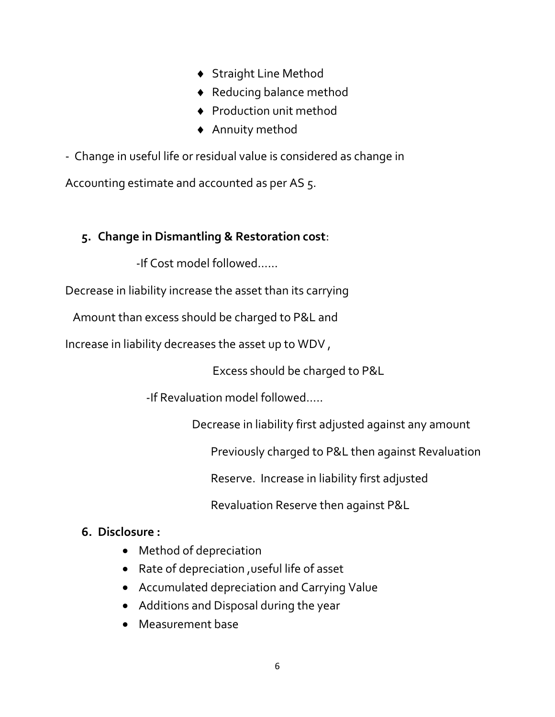- ◆ Straight Line Method
- Reducing balance method
- ◆ Production unit method
- Annuity method

- Change in useful life or residual value is considered as change in

Accounting estimate and accounted as per AS 5.

## 5. Change in Dismantling & Restoration cost:

-If Cost model followed……

Decrease in liability increase the asset than its carrying

Amount than excess should be charged to P&L and

Increase in liability decreases the asset up to WDV ,

Excess should be charged to P&L

-If Revaluation model followed…..

Decrease in liability first adjusted against any amount

Previously charged to P&L then against Revaluation

Reserve. Increase in liability first adjusted

Revaluation Reserve then against P&L

#### 6. Disclosure :

- Method of depreciation
- Rate of depreciation ,useful life of asset
- Accumulated depreciation and Carrying Value
- Additions and Disposal during the year
- Measurement base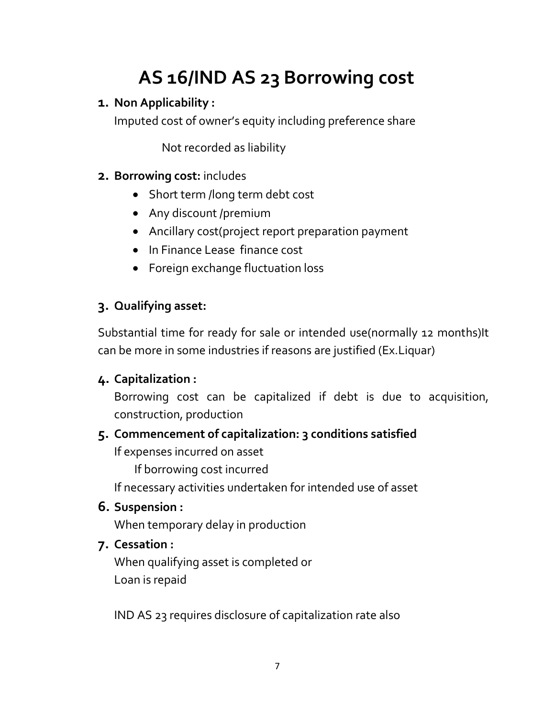# AS 16/IND AS 23 Borrowing cost

# 1. Non Applicability :

Imputed cost of owner's equity including preference share

Not recorded as liability

# 2. Borrowing cost: includes

- Short term /long term debt cost
- Any discount /premium
- Ancillary cost(project report preparation payment
- In Finance Lease finance cost
- Foreign exchange fluctuation loss

# 3. Qualifying asset:

Substantial time for ready for sale or intended use(normally 12 months)It can be more in some industries if reasons are justified (Ex.Liquar)

# 4. Capitalization :

Borrowing cost can be capitalized if debt is due to acquisition, construction, production

# 5. Commencement of capitalization: 3 conditions satisfied

If expenses incurred on asset

If borrowing cost incurred

If necessary activities undertaken for intended use of asset

# 6. Suspension :

When temporary delay in production

# 7. Cessation :

When qualifying asset is completed or Loan is repaid

IND AS 23 requires disclosure of capitalization rate also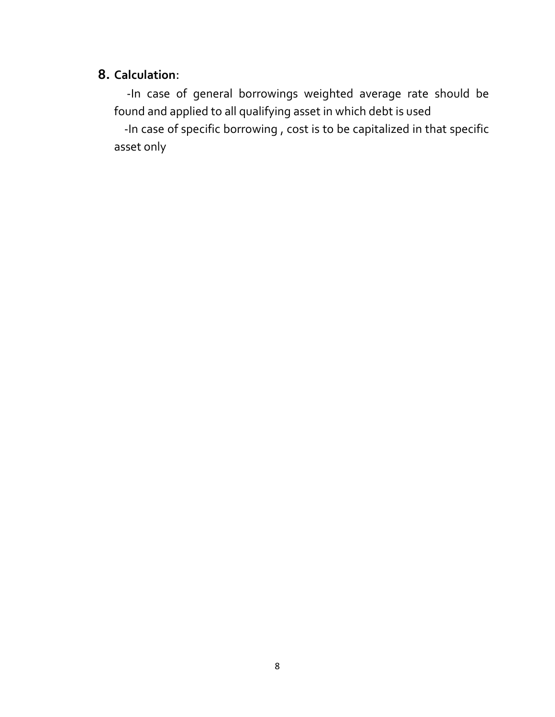### 8. Calculation:

 -In case of general borrowings weighted average rate should be found and applied to all qualifying asset in which debt is used

 -In case of specific borrowing , cost is to be capitalized in that specific asset only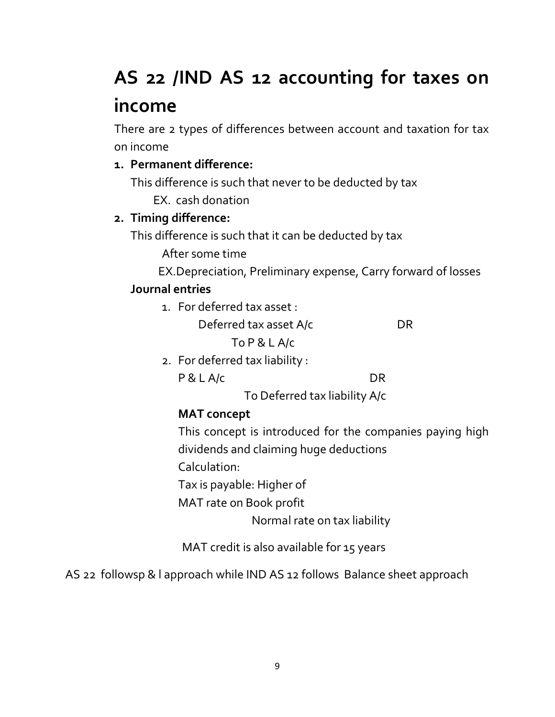# AS 22 /IND AS 12 accounting for taxes on income

There are 2 types of differences between account and taxation for tax on income

# 1. Permanent difference:

This difference is such that never to be deducted by tax

EX. cash donation

# 2. Timing difference:

This difference is such that it can be deducted by tax

After some time

EX.Depreciation, Preliminary expense, Carry forward of losses

## Journal entries

1. For deferred tax asset :

Deferred tax asset A/c DR

To P & L A/c

2. For deferred tax liability :

P & L A/c DR

To Deferred tax liability A/c

# MAT concept

This concept is introduced for the companies paying high dividends and claiming huge deductions

Calculation:

Tax is payable: Higher of

MAT rate on Book profit

Normal rate on tax liability

MAT credit is also available for 15 years

AS 22 followsp & l approach while IND AS 12 follows Balance sheet approach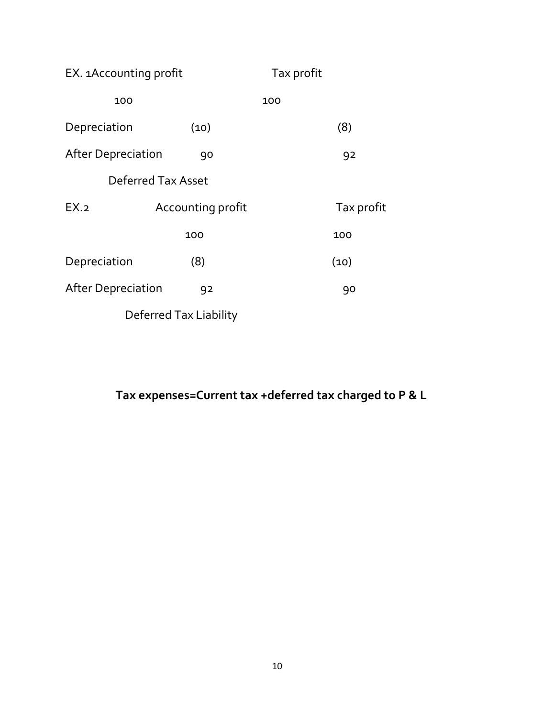| EX. 1Accounting profit    |                    | Tax profit |            |  |  |
|---------------------------|--------------------|------------|------------|--|--|
| 100                       |                    | 100        |            |  |  |
| Depreciation              | (10)               |            | (8)        |  |  |
| <b>After Depreciation</b> | 90                 |            | 92         |  |  |
|                           | Deferred Tax Asset |            |            |  |  |
| EX.2                      | Accounting profit  |            | Tax profit |  |  |
|                           | 100                |            | 100        |  |  |
| Depreciation              | (8)                |            | (10)       |  |  |
| <b>After Depreciation</b> | 92                 |            | 90         |  |  |
| Deferred Tax Liability    |                    |            |            |  |  |

Tax expenses=Current tax +deferred tax charged to P & L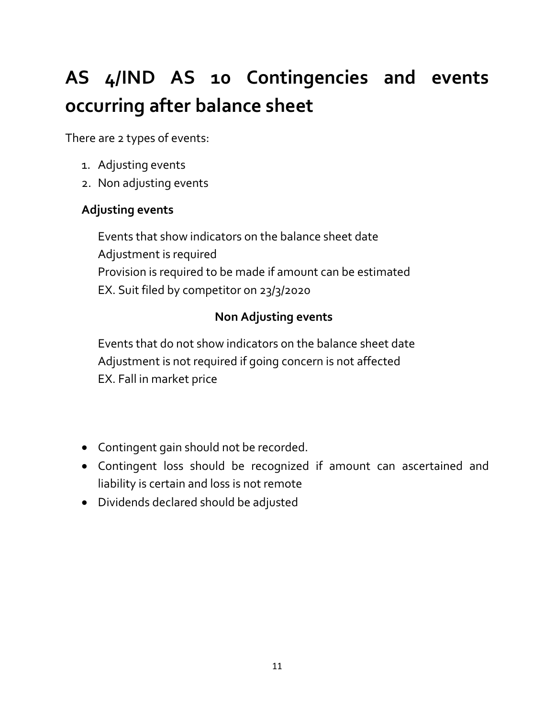# AS 4/IND AS 10 Contingencies and events occurring after balance sheet

There are 2 types of events:

- 1. Adjusting events
- 2. Non adjusting events

# Adjusting events

Events that show indicators on the balance sheet date Adjustment is required Provision is required to be made if amount can be estimated EX. Suit filed by competitor on 23/3/2020

# Non Adjusting events

Events that do not show indicators on the balance sheet date Adjustment is not required if going concern is not affected EX. Fall in market price

- Contingent gain should not be recorded.
- Contingent loss should be recognized if amount can ascertained and liability is certain and loss is not remote
- Dividends declared should be adjusted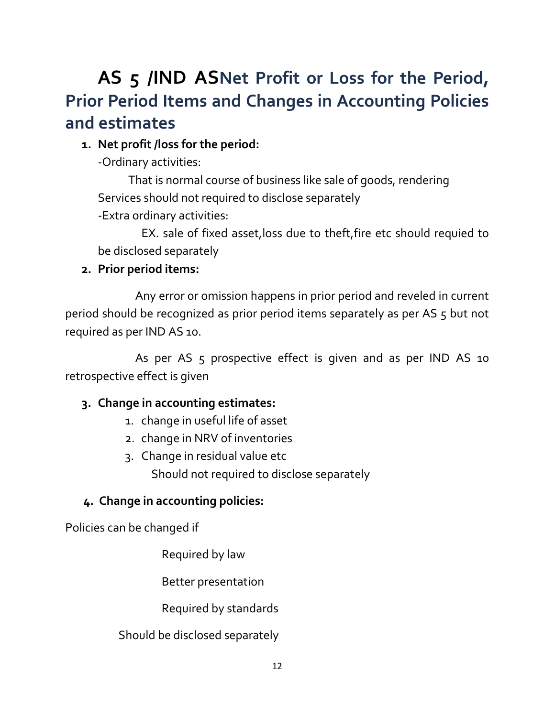# AS 5 /IND ASNet Profit or Loss for the Period, Prior Period Items and Changes in Accounting Policies and estimates

### 1. Net profit /loss for the period:

-Ordinary activities:

 That is normal course of business like sale of goods, rendering Services should not required to disclose separately

-Extra ordinary activities:

 EX. sale of fixed asset,loss due to theft,fire etc should requied to be disclosed separately

### 2. Prior period items:

Any error or omission happens in prior period and reveled in current period should be recognized as prior period items separately as per AS 5 but not required as per IND AS 10.

As per AS 5 prospective effect is given and as per IND AS 10 retrospective effect is given

## 3. Change in accounting estimates:

- 1. change in useful life of asset
- 2. change in NRV of inventories
- 3. Change in residual value etc Should not required to disclose separately

## 4. Change in accounting policies:

Policies can be changed if

Required by law

Better presentation

Required by standards

#### Should be disclosed separately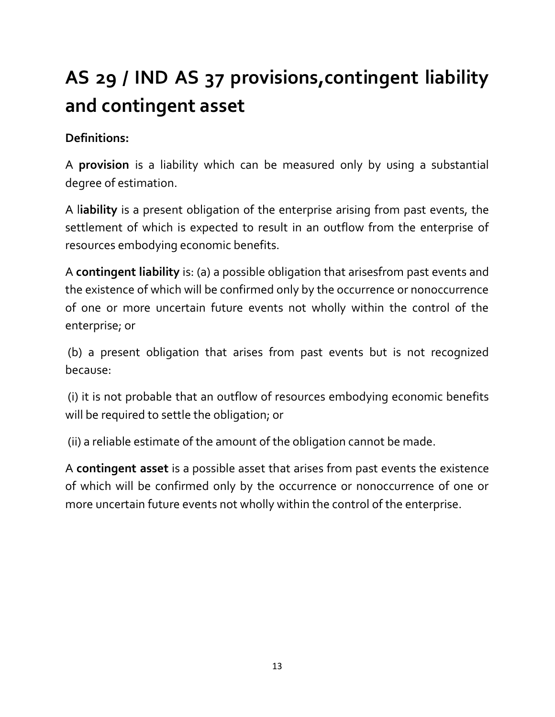# AS 29 / IND AS 37 provisions,contingent liability and contingent asset

# Definitions:

A provision is a liability which can be measured only by using a substantial degree of estimation.

A liability is a present obligation of the enterprise arising from past events, the settlement of which is expected to result in an outflow from the enterprise of resources embodying economic benefits.

A contingent liability is: (a) a possible obligation that arisesfrom past events and the existence of which will be confirmed only by the occurrence or nonoccurrence of one or more uncertain future events not wholly within the control of the enterprise; or

 (b) a present obligation that arises from past events but is not recognized because:

 (i) it is not probable that an outflow of resources embodying economic benefits will be required to settle the obligation; or

(ii) a reliable estimate of the amount of the obligation cannot be made.

A contingent asset is a possible asset that arises from past events the existence of which will be confirmed only by the occurrence or nonoccurrence of one or more uncertain future events not wholly within the control of the enterprise.